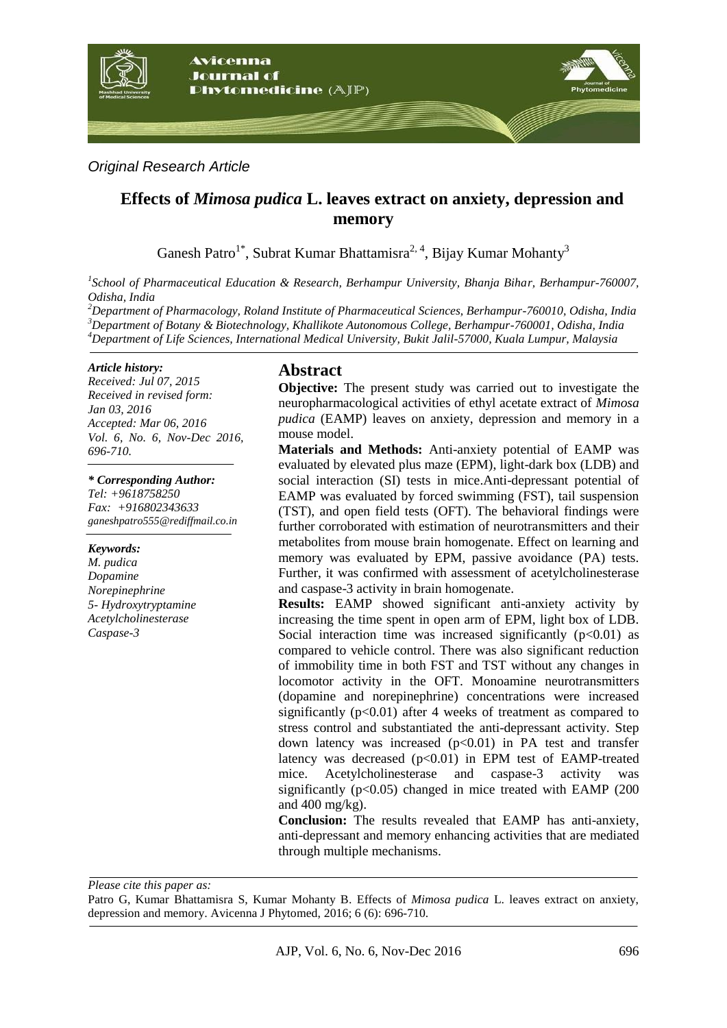

*Original Research Article*

# **Effects of** *Mimosa pudica* **L. leaves extract on anxiety, depression and memory**

Ganesh Patro<sup>1\*</sup>, Subrat Kumar Bhattamisra<sup>2, 4</sup>, Bijay Kumar Mohanty<sup>3</sup>

*1 School of Pharmaceutical Education & Research, Berhampur University, Bhanja Bihar, Berhampur-760007, Odisha, India*

*<sup>2</sup>Department of Pharmacology, Roland Institute of Pharmaceutical Sciences, Berhampur-760010, Odisha, India <sup>3</sup>Department of Botany & Biotechnology, Khallikote Autonomous College, Berhampur-760001, Odisha, India <sup>4</sup>Department of Life Sciences, International Medical University, Bukit Jalil-57000, Kuala Lumpur, Malaysia*

#### *Article history:*

*Received: Jul 07, 2015 Received in revised form: Jan 03, 2016 Accepted: Mar 06, 2016 Vol. 6, No. 6, Nov-Dec 2016, 696-710.*

*\* Corresponding Author:*

*Tel: +9618758250 Fax: +916802343633 ganeshpatro555@rediffmail.co.in*

*Keywords:* 

*M. pudica Dopamine Norepinephrine 5- Hydroxytryptamine Acetylcholinesterase Caspase-3*

## **Abstract**

**Objective:** The present study was carried out to investigate the neuropharmacological activities of ethyl acetate extract of *Mimosa pudica* (EAMP) leaves on anxiety, depression and memory in a mouse model.

**Materials and Methods:** Anti-anxiety potential of EAMP was evaluated by elevated plus maze (EPM), light-dark box (LDB) and social interaction (SI) tests in mice.Anti-depressant potential of EAMP was evaluated by forced swimming (FST), tail suspension (TST), and open field tests (OFT). The behavioral findings were further corroborated with estimation of neurotransmitters and their metabolites from mouse brain homogenate. Effect on learning and memory was evaluated by EPM, passive avoidance (PA) tests. Further, it was confirmed with assessment of acetylcholinesterase and caspase-3 activity in brain homogenate.

**Results:** EAMP showed significant anti-anxiety activity by increasing the time spent in open arm of EPM, light box of LDB. Social interaction time was increased significantly  $(p<0.01)$  as compared to vehicle control. There was also significant reduction of immobility time in both FST and TST without any changes in locomotor activity in the OFT. Monoamine neurotransmitters (dopamine and norepinephrine) concentrations were increased significantly  $(p<0.01)$  after 4 weeks of treatment as compared to stress control and substantiated the anti-depressant activity. Step down latency was increased  $(p<0.01)$  in PA test and transfer latency was decreased  $(p<0.01)$  in EPM test of EAMP-treated mice. Acetylcholinesterase and caspase-3 activity was significantly ( $p<0.05$ ) changed in mice treated with EAMP (200) and  $400 \text{ mg/kg}$ .

**Conclusion:** The results revealed that EAMP has anti-anxiety, anti-depressant and memory enhancing activities that are mediated through multiple mechanisms.

*Please cite this paper as:* 

Patro G, Kumar Bhattamisra S, Kumar Mohanty B. Effects of *Mimosa pudica* L. leaves extract on anxiety, depression and memory. Avicenna J Phytomed, 2016; 6 (6): 696-710.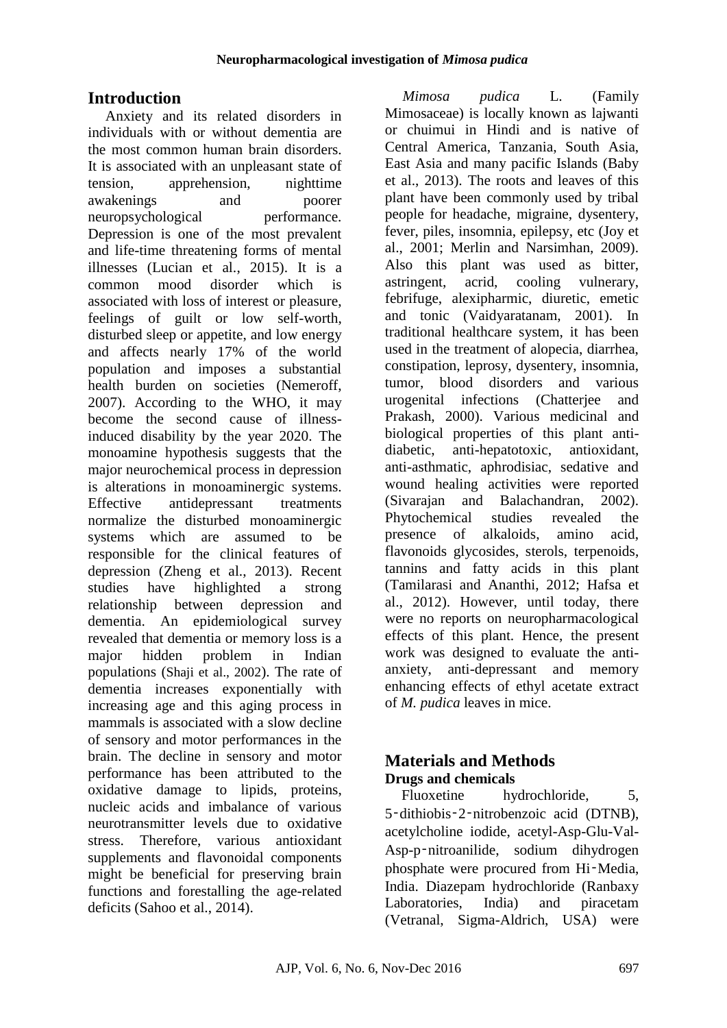# **Introduction**

Anxiety and its related disorders in individuals with or without dementia are the most common human brain disorders. It is associated with an unpleasant state of tension, apprehension, nighttime awakenings and poorer neuropsychological performance. Depression is one of the most prevalent and life-time threatening forms of mental illnesses (Lucian et al., 2015). It is a common mood disorder which is associated with loss of interest or pleasure, feelings of guilt or low self-worth, disturbed sleep or appetite, and low energy and affects nearly 17% of the world population and imposes a substantial health burden on societies (Nemeroff, 2007). According to the WHO, it may become the second cause of illnessinduced disability by the year 2020. The monoamine hypothesis suggests that the major neurochemical process in depression is alterations in monoaminergic systems. Effective antidepressant treatments normalize the disturbed monoaminergic systems which are assumed to be responsible for the clinical features of depression (Zheng et al., 2013). Recent studies have highlighted a strong relationship between depression and dementia. An epidemiological survey revealed that dementia or memory loss is a major hidden problem in Indian populations (Shaji et al., 2002). The rate of dementia increases exponentially with increasing age and this aging process in mammals is associated with a slow decline of sensory and motor performances in the brain. The decline in sensory and motor performance has been attributed to the oxidative damage to lipids, proteins, nucleic acids and imbalance of various neurotransmitter levels due to oxidative stress. Therefore, various antioxidant supplements and flavonoidal components might be beneficial for preserving brain functions and forestalling the age-related deficits (Sahoo et al., 2014).

*Mimosa pudica* L. (Family Mimosaceae) is locally known as lajwanti or chuimui in Hindi and is native of Central America, Tanzania, South Asia, East Asia and many pacific Islands (Baby et al., 2013). The roots and leaves of this plant have been commonly used by tribal people for headache, migraine, dysentery, fever, piles, insomnia, epilepsy, etc (Joy et al., 2001; Merlin and Narsimhan, 2009). Also this plant was used as bitter, astringent, acrid, cooling vulnerary, febrifuge, alexipharmic, diuretic, emetic and tonic (Vaidyaratanam, 2001). In traditional healthcare system, it has been used in the treatment of alopecia, diarrhea, constipation, leprosy, dysentery, insomnia, tumor, blood disorders and various urogenital infections (Chatterjee and Prakash, 2000). Various medicinal and biological properties of this plant antidiabetic, anti-hepatotoxic, antioxidant, anti-asthmatic, aphrodisiac, sedative and wound healing activities were reported (Sivarajan and Balachandran, 2002). Phytochemical studies revealed the presence of alkaloids, amino acid, flavonoids glycosides, sterols, terpenoids, tannins and fatty acids in this plant (Tamilarasi and Ananthi, 2012; Hafsa et al., 2012). However, until today, there were no reports on neuropharmacological effects of this plant. Hence, the present work was designed to evaluate the antianxiety, anti-depressant and memory enhancing effects of ethyl acetate extract of *M. pudica* leaves in mice.

## **Materials and Methods Drugs and chemicals**

Fluoxetine hydrochloride, 5, 5‑dithiobis‑2‑nitrobenzoic acid (DTNB), acetylcholine iodide, acetyl-Asp-Glu-Val-Asp-p‑nitroanilide, sodium dihydrogen phosphate were procured from Hi‑Media, India. Diazepam hydrochloride (Ranbaxy Laboratories, India) and piracetam (Vetranal, Sigma-Aldrich, USA) were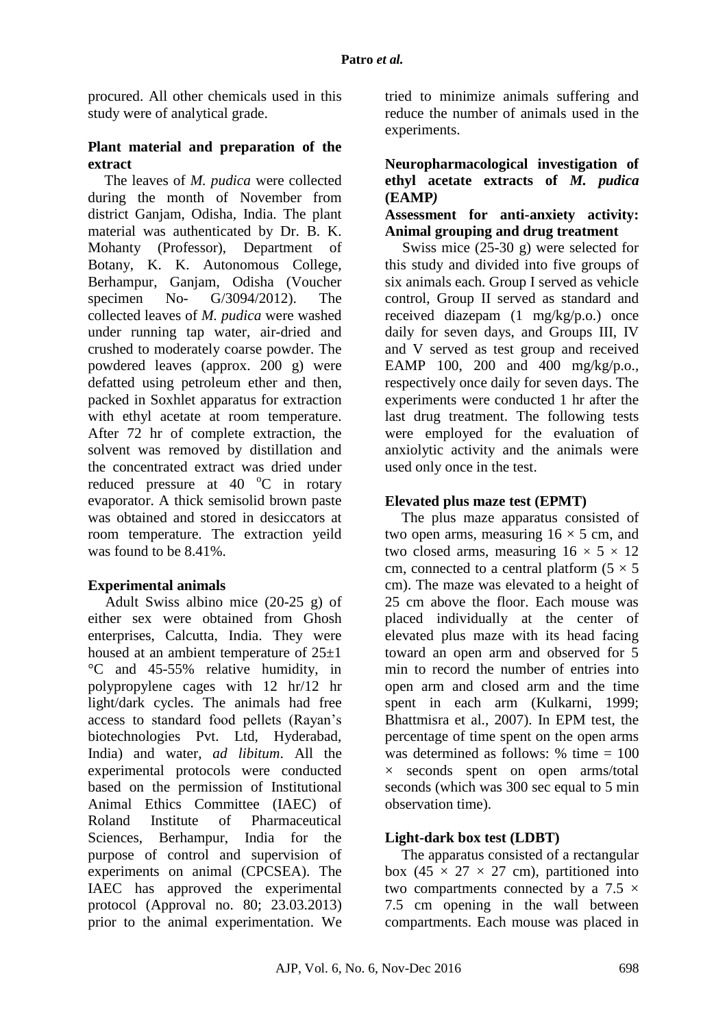procured. All other chemicals used in this study were of analytical grade.

#### **Plant material and preparation of the extract**

The leaves of *M. pudica* were collected during the month of November from district Ganjam, Odisha, India. The plant material was authenticated by Dr. B. K. Mohanty (Professor), Department of Botany, K. K. Autonomous College, Berhampur, Ganjam, Odisha (Voucher specimen No- G/3094/2012). The collected leaves of *M. pudica* were washed under running tap water, air-dried and crushed to moderately coarse powder. The powdered leaves (approx. 200 g) were defatted using petroleum ether and then, packed in Soxhlet apparatus for extraction with ethyl acetate at room temperature. After 72 hr of complete extraction, the solvent was removed by distillation and the concentrated extract was dried under reduced pressure at 40  $^{\circ}$ C in rotary evaporator. A thick semisolid brown paste was obtained and stored in desiccators at room temperature. The extraction yeild was found to be 8.41%.

### **Experimental animals**

Adult Swiss albino mice (20-25 g) of either sex were obtained from Ghosh enterprises, Calcutta, India. They were housed at an ambient temperature of 25±1 °C and 45-55% relative humidity, in polypropylene cages with 12 hr/12 hr light/dark cycles. The animals had free access to standard food pellets (Rayan's biotechnologies Pvt. Ltd, Hyderabad, India) and water, *ad libitum*. All the experimental protocols were conducted based on the permission of Institutional Animal Ethics Committee (IAEC) of Roland Institute of Pharmaceutical Sciences, Berhampur, India for the purpose of control and supervision of experiments on animal (CPCSEA). The IAEC has approved the experimental protocol (Approval no. 80; 23.03.2013) prior to the animal experimentation. We tried to minimize animals suffering and reduce the number of animals used in the experiments.

#### **Neuropharmacological investigation of ethyl acetate extracts of** *M. pudica* **(EAMP***)*

#### **Assessment for anti-anxiety activity: Animal grouping and drug treatment**

Swiss mice (25-30 g) were selected for this study and divided into five groups of six animals each. Group I served as vehicle control, Group II served as standard and received diazepam (1 mg/kg/p.o.) once daily for seven days, and Groups III, IV and V served as test group and received EAMP 100, 200 and 400 mg/kg/p.o., respectively once daily for seven days. The experiments were conducted 1 hr after the last drug treatment. The following tests were employed for the evaluation of anxiolytic activity and the animals were used only once in the test.

#### **Elevated plus maze test (EPMT)**

The plus maze apparatus consisted of two open arms, measuring  $16 \times 5$  cm, and two closed arms, measuring  $16 \times 5 \times 12$ cm, connected to a central platform  $(5 \times 5)$ cm). The maze was elevated to a height of 25 cm above the floor. Each mouse was placed individually at the center of elevated plus maze with its head facing toward an open arm and observed for 5 min to record the number of entries into open arm and closed arm and the time spent in each arm (Kulkarni, 1999; Bhattmisra et al., 2007). In EPM test, the percentage of time spent on the open arms was determined as follows: % time = 100  $\times$  seconds spent on open arms/total seconds (which was 300 sec equal to 5 min observation time).

### **Light-dark box test (LDBT)**

The apparatus consisted of a rectangular box (45  $\times$  27  $\times$  27 cm), partitioned into two compartments connected by a 7.5  $\times$ 7.5 cm opening in the wall between compartments. Each mouse was placed in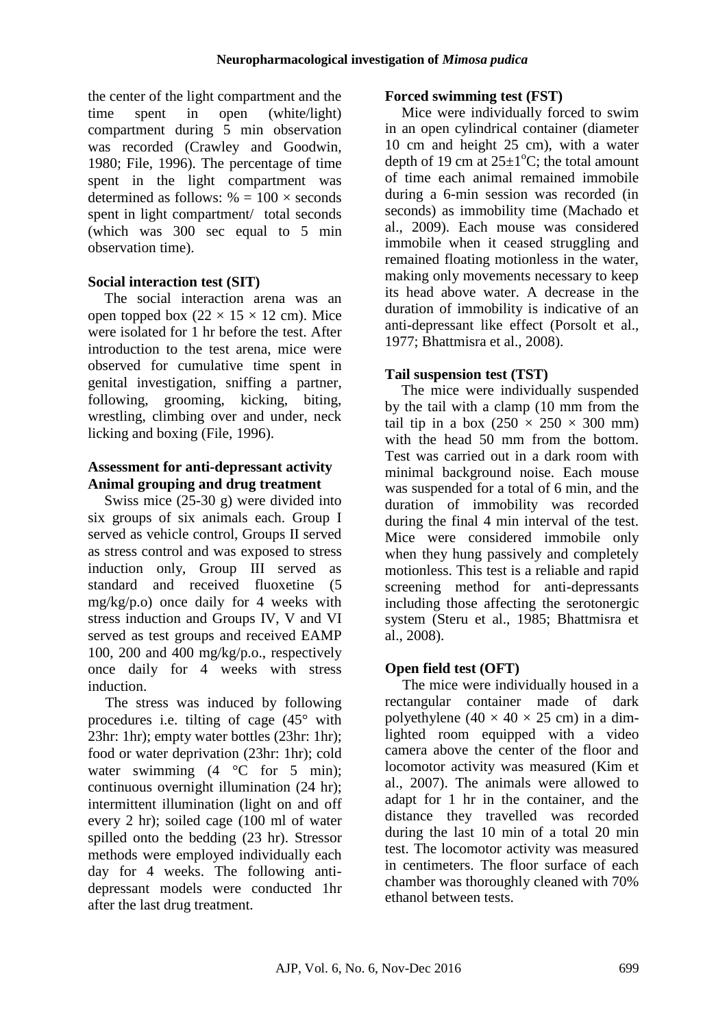the center of the light compartment and the time spent in open (white/light) compartment during 5 min observation was recorded (Crawley and Goodwin, 1980; File, 1996). The percentage of time spent in the light compartment was determined as follows:  $% = 100 \times seconds$ spent in light compartment/ total seconds (which was 300 sec equal to 5 min observation time).

#### **Social interaction test (SIT)**

The social interaction arena was an open topped box  $(22 \times 15 \times 12 \text{ cm})$ . Mice were isolated for 1 hr before the test. After introduction to the test arena, mice were observed for cumulative time spent in genital investigation, sniffing a partner, following, grooming, kicking, biting, wrestling, climbing over and under, neck licking and boxing (File, 1996).

#### **Assessment for anti-depressant activity Animal grouping and drug treatment**

Swiss mice (25-30 g) were divided into six groups of six animals each. Group I served as vehicle control, Groups II served as stress control and was exposed to stress induction only, Group III served as standard and received fluoxetine (5 mg/kg/p.o) once daily for 4 weeks with stress induction and Groups IV, V and VI served as test groups and received EAMP 100, 200 and 400 mg/kg/p.o., respectively once daily for 4 weeks with stress induction.

The stress was induced by following procedures i.e. tilting of cage (45° with 23hr: 1hr); empty water bottles (23hr: 1hr); food or water deprivation (23hr: 1hr); cold water swimming  $(4 \degree C)$  for 5 min); continuous overnight illumination (24 hr); intermittent illumination (light on and off every 2 hr); soiled cage (100 ml of water spilled onto the bedding (23 hr). Stressor methods were employed individually each day for 4 weeks. The following antidepressant models were conducted 1hr after the last drug treatment.

#### **Forced swimming test (FST)**

Mice were individually forced to swim in an open cylindrical container (diameter 10 cm and height 25 cm), with a water depth of 19 cm at  $25\pm1\textdegree C$ ; the total amount of time each animal remained immobile during a 6-min session was recorded (in seconds) as immobility time (Machado et al., 2009). Each mouse was considered immobile when it ceased struggling and remained floating motionless in the water, making only movements necessary to keep its head above water. A decrease in the duration of immobility is indicative of an anti-depressant like effect (Porsolt et al., 1977; Bhattmisra et al., 2008).

### **Tail suspension test (TST)**

The mice were individually suspended by the tail with a clamp (10 mm from the tail tip in a box  $(250 \times 250 \times 300 \text{ mm})$ with the head 50 mm from the bottom. Test was carried out in a dark room with minimal background noise. Each mouse was suspended for a total of 6 min, and the duration of immobility was recorded during the final 4 min interval of the test. Mice were considered immobile only when they hung passively and completely motionless. This test is a reliable and rapid screening method for anti-depressants including those affecting the serotonergic system (Steru et al., 1985; Bhattmisra et al., 2008).

### **Open field test (OFT)**

The mice were individually housed in a rectangular container made of dark polyethylene (40  $\times$  40  $\times$  25 cm) in a dimlighted room equipped with a video camera above the center of the floor and locomotor activity was measured (Kim et al., 2007). The animals were allowed to adapt for 1 hr in the container, and the distance they travelled was recorded during the last 10 min of a total 20 min test. The locomotor activity was measured in centimeters. The floor surface of each chamber was thoroughly cleaned with 70% ethanol between tests.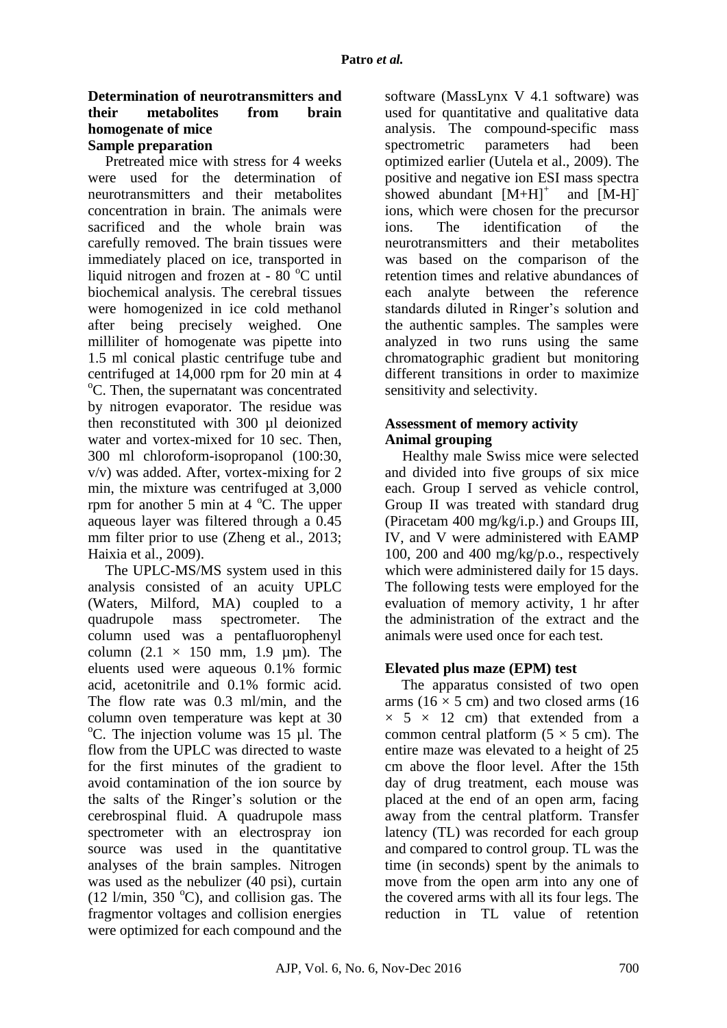#### **Determination of neurotransmitters and their metabolites from brain homogenate of mice Sample preparation**

Pretreated mice with stress for 4 weeks were used for the determination of neurotransmitters and their metabolites concentration in brain. The animals were sacrificed and the whole brain was carefully removed. The brain tissues were immediately placed on ice, transported in liquid nitrogen and frozen at -  $80^{\circ}$ C until biochemical analysis. The cerebral tissues were homogenized in ice cold methanol after being precisely weighed. One milliliter of homogenate was pipette into 1.5 ml conical plastic centrifuge tube and centrifuged at 14,000 rpm for 20 min at 4  $\rm{^oC}$ . Then, the supernatant was concentrated by nitrogen evaporator. The residue was then reconstituted with 300 ul deionized water and vortex-mixed for 10 sec. Then, 300 ml chloroform-isopropanol (100:30, v/v) was added. After, vortex-mixing for 2 min, the mixture was centrifuged at 3,000 rpm for another 5 min at  $4^{\circ}$ C. The upper aqueous layer was filtered through a 0.45 mm filter prior to use (Zheng et al., 2013; Haixia et al., 2009).

The UPLC-MS/MS system used in this analysis consisted of an acuity UPLC (Waters, Milford, MA) coupled to a quadrupole mass spectrometer. The column used was a pentafluorophenyl column  $(2.1 \times 150$  mm,  $1.9$  µm). The eluents used were aqueous 0.1% formic acid, acetonitrile and 0.1% formic acid. The flow rate was 0.3 ml/min, and the column oven temperature was kept at 30  $\rm{^{\circ}C}$ . The injection volume was 15 µl. The flow from the UPLC was directed to waste for the first minutes of the gradient to avoid contamination of the ion source by the salts of the Ringer's solution or the cerebrospinal fluid. A quadrupole mass spectrometer with an electrospray ion source was used in the quantitative analyses of the brain samples. Nitrogen was used as the nebulizer (40 psi), curtain (12 l/min, 350  $^{\circ}$ C), and collision gas. The fragmentor voltages and collision energies were optimized for each compound and the software (MassLynx V 4.1 software) was used for quantitative and qualitative data analysis. The compound-specific mass<br>spectrometric parameters had been spectrometric parameters had been optimized earlier (Uutela et al., 2009). The positive and negative ion ESI mass spectra showed abundant  $[M+H]$ <sup>+</sup> and [M-H] ions, which were chosen for the precursor ions. The identification of the neurotransmitters and their metabolites was based on the comparison of the retention times and relative abundances of each analyte between the reference standards diluted in Ringer's solution and the authentic samples. The samples were analyzed in two runs using the same chromatographic gradient but monitoring different transitions in order to maximize sensitivity and selectivity.

#### **Assessment of memory activity Animal grouping**

Healthy male Swiss mice were selected and divided into five groups of six mice each. Group I served as vehicle control, Group II was treated with standard drug (Piracetam 400 mg/kg/i.p.) and Groups III, IV, and V were administered with EAMP 100, 200 and 400 mg/kg/p.o., respectively which were administered daily for 15 days. The following tests were employed for the evaluation of memory activity, 1 hr after the administration of the extract and the animals were used once for each test.

### **Elevated plus maze (EPM) test**

The apparatus consisted of two open arms ( $16 \times 5$  cm) and two closed arms ( $16$ )  $\times$  5  $\times$  12 cm) that extended from a common central platform  $(5 \times 5 \text{ cm})$ . The entire maze was elevated to a height of 25 cm above the floor level. After the 15th day of drug treatment, each mouse was placed at the end of an open arm, facing away from the central platform. Transfer latency (TL) was recorded for each group and compared to control group. TL was the time (in seconds) spent by the animals to move from the open arm into any one of the covered arms with all its four legs. The reduction in TL value of retention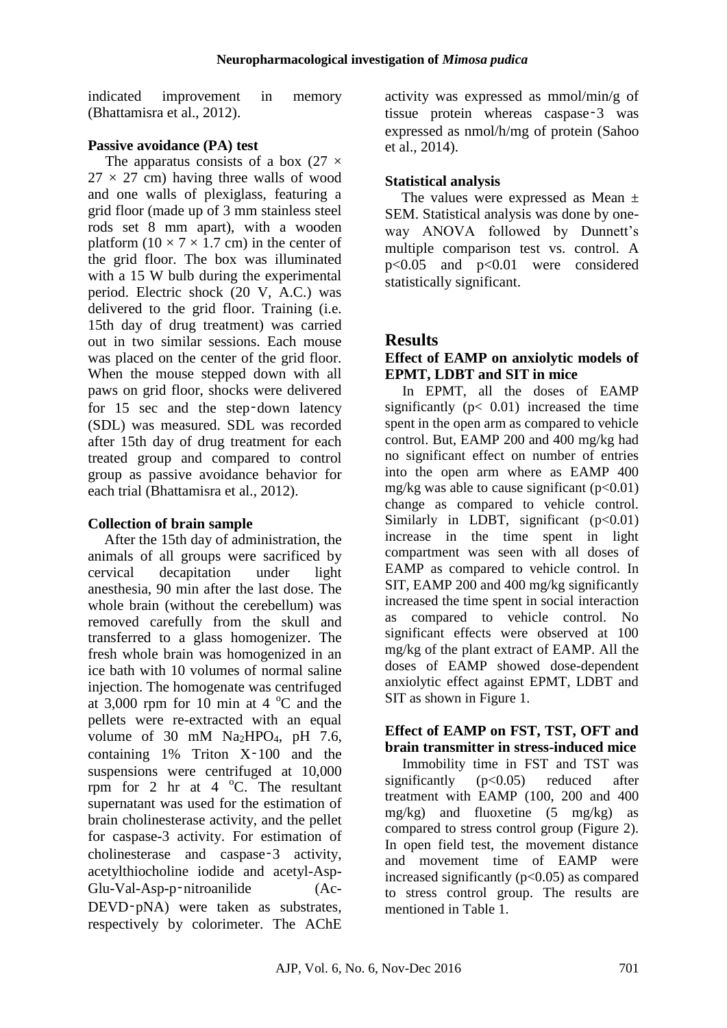indicated improvement in memory (Bhattamisra et al., 2012).

#### **Passive avoidance (PA) test**

The apparatus consists of a box  $(27 \times$  $27 \times 27$  cm) having three walls of wood and one walls of plexiglass, featuring a grid floor (made up of 3 mm stainless steel rods set 8 mm apart), with a wooden platform  $(10 \times 7 \times 1.7$  cm) in the center of the grid floor. The box was illuminated with a 15 W bulb during the experimental period. Electric shock (20 V, A.C.) was delivered to the grid floor. Training (i.e. 15th day of drug treatment) was carried out in two similar sessions. Each mouse was placed on the center of the grid floor. When the mouse stepped down with all paws on grid floor, shocks were delivered for 15 sec and the step–down latency (SDL) was measured. SDL was recorded after 15th day of drug treatment for each treated group and compared to control group as passive avoidance behavior for each trial (Bhattamisra et al., 2012).

### **Collection of brain sample**

After the 15th day of administration, the animals of all groups were sacrificed by cervical decapitation under light anesthesia, 90 min after the last dose. The whole brain (without the cerebellum) was removed carefully from the skull and transferred to a glass homogenizer. The fresh whole brain was homogenized in an ice bath with 10 volumes of normal saline injection. The homogenate was centrifuged at  $3,000$  rpm for 10 min at 4 °C and the pellets were re-extracted with an equal volume of 30 mM  $Na<sub>2</sub>HPO<sub>4</sub>$ , pH 7.6, containing 1% Triton X‑100 and the suspensions were centrifuged at 10,000 rpm for 2 hr at  $4 \degree$ C. The resultant supernatant was used for the estimation of brain cholinesterase activity, and the pellet for caspase-3 activity. For estimation of cholinesterase and caspase‑3 activity, acetylthiocholine iodide and acetyl-Asp-Glu-Val-Asp-p‑nitroanilide (Ac-DEVD-pNA) were taken as substrates, respectively by colorimeter. The AChE

activity was expressed as mmol/min/g of tissue protein whereas caspase‑3 was expressed as nmol/h/mg of protein (Sahoo et al., 2014).

## **Statistical analysis**

The values were expressed as Mean  $\pm$ SEM. Statistical analysis was done by oneway ANOVA followed by Dunnett's multiple comparison test vs. control. A p<0.05 and p<0.01 were considered statistically significant.

## **Results**

#### **Effect of EAMP on anxiolytic models of EPMT, LDBT and SIT in mice**

In EPMT, all the doses of EAMP significantly ( $p < 0.01$ ) increased the time spent in the open arm as compared to vehicle control. But, EAMP 200 and 400 mg/kg had no significant effect on number of entries into the open arm where as EAMP 400 mg/kg was able to cause significant  $(p<0.01)$ change as compared to vehicle control. Similarly in LDBT, significant  $(p<0.01)$ increase in the time spent in light compartment was seen with all doses of EAMP as compared to vehicle control. In SIT, EAMP 200 and 400 mg/kg significantly increased the time spent in social interaction as compared to vehicle control. No significant effects were observed at 100 mg/kg of the plant extract of EAMP. All the doses of EAMP showed dose-dependent anxiolytic effect against EPMT, LDBT and SIT as shown in Figure 1.

#### **Effect of EAMP on FST, TST, OFT and brain transmitter in stress-induced mice**

Immobility time in FST and TST was significantly  $(p<0.05)$  reduced after treatment with EAMP (100, 200 and 400  $mg/kg$ ) and fluoxetine (5 mg/kg) as compared to stress control group (Figure 2). In open field test, the movement distance and movement time of EAMP were increased significantly  $(p<0.05)$  as compared to stress control group. The results are mentioned in Table 1.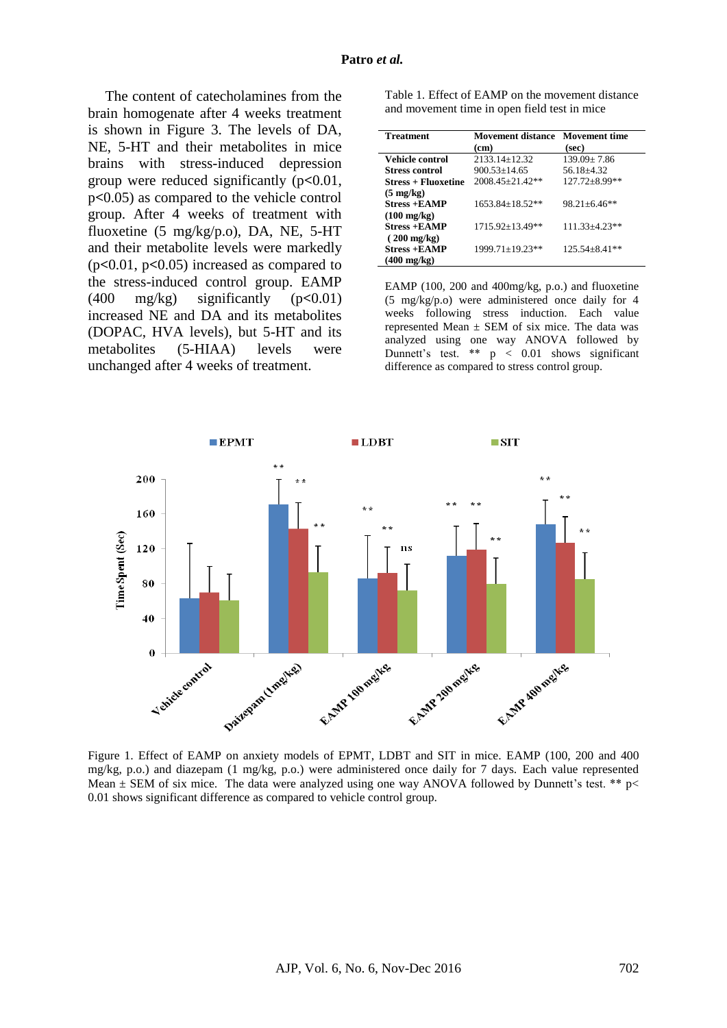The content of catecholamines from the brain homogenate after 4 weeks treatment is shown in Figure 3. The levels of DA, NE, 5-HT and their metabolites in mice brains with stress-induced depression group were reduced significantly (p**<**0.01, p**<**0.05) as compared to the vehicle control group. After 4 weeks of treatment with fluoxetine (5 mg/kg/p.o), DA, NE, 5-HT and their metabolite levels were markedly (p**<**0.01, p**<**0.05) increased as compared to the stress-induced control group. EAMP (400 mg/kg) significantly (p**<**0.01) increased NE and DA and its metabolites (DOPAC, HVA levels), but 5-HT and its metabolites (5-HIAA) levels were unchanged after 4 weeks of treatment.

Table 1. Effect of EAMP on the movement distance and movement time in open field test in mice

| Treatment                  | <b>Movement distance</b> | Movement time       |
|----------------------------|--------------------------|---------------------|
|                            | (cm)                     | (sec)               |
| Vehicle control            | $2133.14 \pm 12.32$      | $139.09 \pm 7.86$   |
| Stress control             | $900.53 + 14.65$         | 56.18+4.32          |
| <b>Stress + Fluoxetine</b> | $2008.45 + 21.42**$      | $127.72 \pm 8.99**$ |
| $(5 \text{ mg/kg})$        |                          |                     |
| $Stress + EAMP$            | $1653.84 + 18.52**$      | $98.21 + 6.46**$    |
| $(100 \text{ mg/kg})$      |                          |                     |
| <b>Stress +EAMP</b>        | $1715.92 \pm 13.49**$    | 111.33+4.23**       |
| $(200 \text{ mg/kg})$      |                          |                     |
| $Stress + EAMP$            | 1999.71+19.23**          | $125.54 + 8.41**$   |
| $(400 \text{ mg/kg})$      |                          |                     |

EAMP (100, 200 and 400mg/kg, p.o.) and fluoxetine (5 mg/kg/p.o) were administered once daily for 4 weeks following stress induction. Each value represented Mean  $\pm$  SEM of six mice. The data was analyzed using one way ANOVA followed by Dunnett's test.  $**$  p < 0.01 shows significant difference as compared to stress control group.



Figure 1. Effect of EAMP on anxiety models of EPMT, LDBT and SIT in mice. EAMP (100, 200 and 400 mg/kg, p.o.) and diazepam (1 mg/kg, p.o.) were administered once daily for 7 days. Each value represented Mean  $\pm$  SEM of six mice. The data were analyzed using one way ANOVA followed by Dunnett's test. \*\* p< 0.01 shows significant difference as compared to vehicle control group.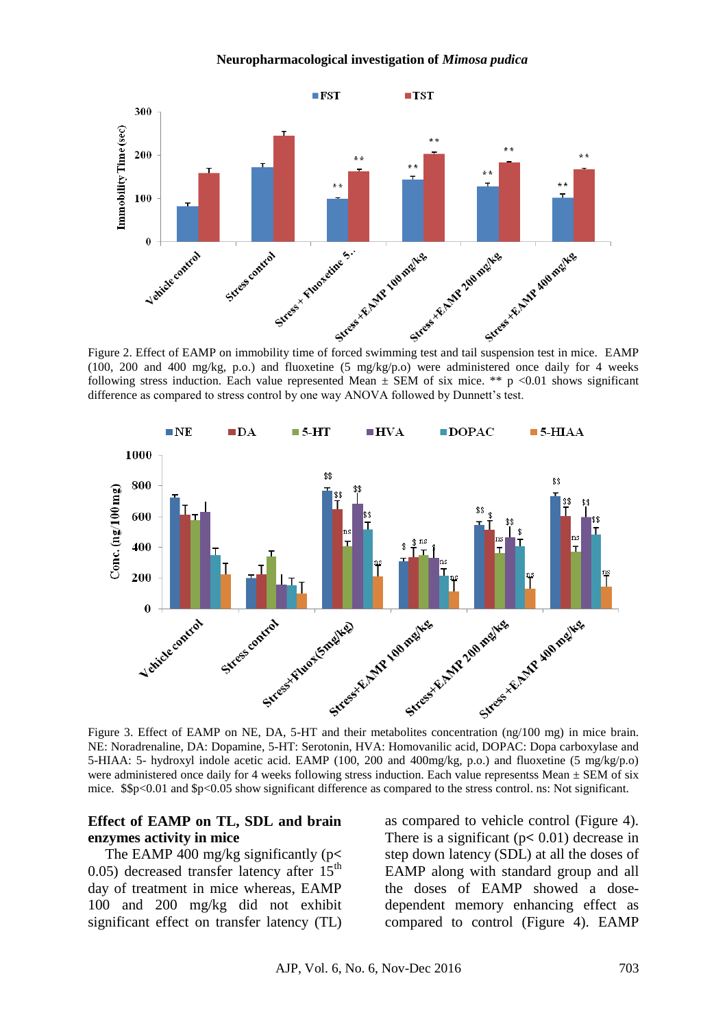#### **Neuropharmacological investigation of** *Mimosa pudica*



(100, 200 and 400 mg/kg, p.o.) and fluoxetine (5 mg/kg/p.o) were administered once daily for 4 weeks following stress induction. Each value represented Mean  $\pm$  SEM of six mice. \*\* p <0.01 shows significant difference as compared to stress control by one way ANOVA followed by Dunnett's test.



NE: Noradrenaline, DA: Dopamine, 5-HT: Serotonin, HVA: Homovanilic acid, DOPAC: Dopa carboxylase and 5-HIAA: 5- hydroxyl indole acetic acid. EAMP (100, 200 and 400mg/kg, p.o.) and fluoxetine (5 mg/kg/p.o) were administered once daily for 4 weeks following stress induction. Each value representss Mean  $\pm$  SEM of six mice. \$\$p<0.01 and \$p<0.05 show significant difference as compared to the stress control. ns: Not significant.

#### **Effect of EAMP on TL, SDL and brain enzymes activity in mice**

The EAMP 400 mg/kg significantly (p**<** 0.05) decreased transfer latency after  $15<sup>th</sup>$ day of treatment in mice whereas, EAMP 100 and 200 mg/kg did not exhibit significant effect on transfer latency (TL) as compared to vehicle control (Figure 4). There is a significant (p**<** 0.01) decrease in step down latency (SDL) at all the doses of EAMP along with standard group and all the doses of EAMP showed a dosedependent memory enhancing effect as compared to control (Figure 4). EAMP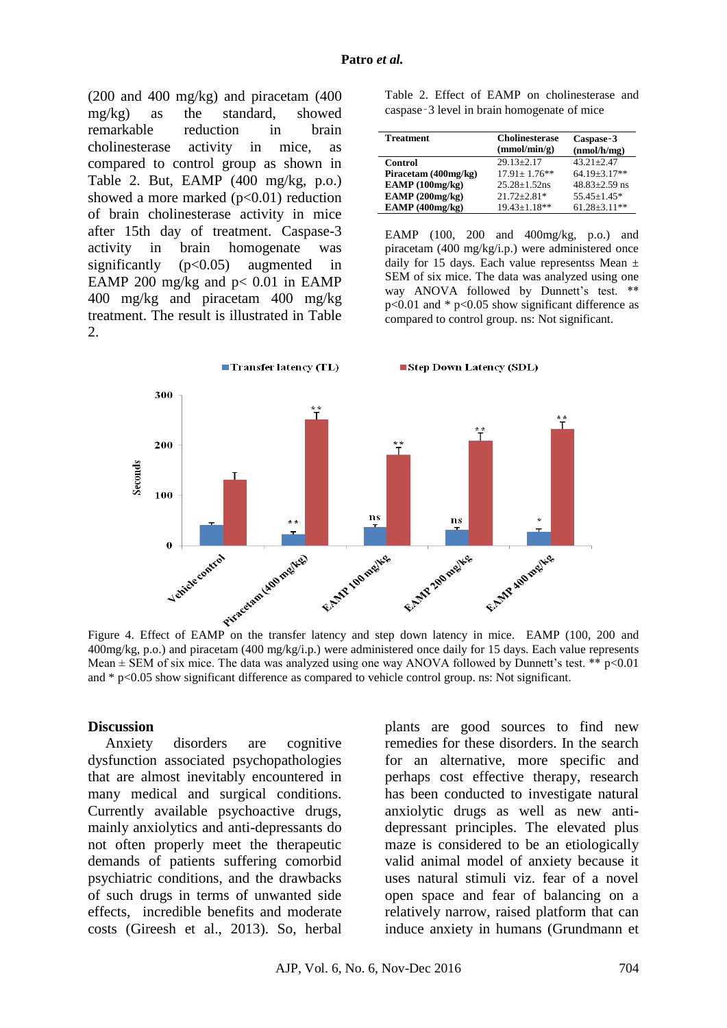(200 and 400 mg/kg) and piracetam (400 mg/kg) as the standard, showed remarkable reduction in brain cholinesterase activity in mice, as compared to control group as shown in Table 2. But, EAMP (400 mg/kg, p.o.) showed a more marked  $(p<0.01)$  reduction of brain cholinesterase activity in mice after 15th day of treatment. Caspase-3 activity in brain homogenate was significantly  $(p<0.05)$  augmented in EAMP 200 mg/kg and  $p < 0.01$  in EAMP 400 mg/kg and piracetam 400 mg/kg treatment. The result is illustrated in Table 2.

Table 2. Effect of EAMP on cholinesterase and caspase‑3 level in brain homogenate of mice

| <b>Treatment</b>     | <b>Cholinesterase</b><br>(mmol/min/g) | Caspase-3<br>(nmol/h/mg) |
|----------------------|---------------------------------------|--------------------------|
| <b>Control</b>       | $29.13 + 2.17$                        | $43.21 + 2.47$           |
| Piracetam (400mg/kg) | $17.91 + 1.76$ **                     | $64.19 + 3.17**$         |
| EAMP(100mg/kg)       | $25.28 + 1.52$ ns                     | $48.83 + 2.59$ ns        |
| EAMP(200mg/kg)       | $21.72 + 2.81*$                       | $55.45 \pm 1.45*$        |
| EAMP(400mg/kg)       | $19.43 + 1.18**$                      | $61.28 \pm 3.11**$       |

EAMP (100, 200 and 400mg/kg, p.o.) and piracetam (400 mg/kg/i.p.) were administered once daily for 15 days. Each value representss Mean  $\pm$ SEM of six mice. The data was analyzed using one way ANOVA followed by Dunnett's test. \*\*  $p<0.01$  and \*  $p<0.05$  show significant difference as compared to control group. ns: Not significant.



400mg/kg, p.o.) and piracetam (400 mg/kg/i.p.) were administered once daily for 15 days. Each value represents Mean  $\pm$  SEM of six mice. The data was analyzed using one way ANOVA followed by Dunnett's test. \*\*  $p$ <0.01 and \* p<0.05 show significant difference as compared to vehicle control group. ns: Not significant.

#### **Discussion**

Anxiety disorders are cognitive dysfunction associated psychopathologies that are almost inevitably encountered in many medical and surgical conditions. Currently available psychoactive drugs, mainly anxiolytics and anti-depressants do not often properly meet the therapeutic demands of patients suffering comorbid psychiatric conditions, and the drawbacks of such drugs in terms of unwanted side effects, incredible benefits and moderate costs (Gireesh et al., 2013). So, herbal

plants are good sources to find new remedies for these disorders. In the search for an alternative, more specific and perhaps cost effective therapy, research has been conducted to investigate natural anxiolytic drugs as well as new antidepressant principles. The elevated plus maze is considered to be an etiologically valid animal model of anxiety because it uses natural stimuli viz. fear of a novel open space and fear of balancing on a relatively narrow, raised platform that can induce anxiety in humans (Grundmann et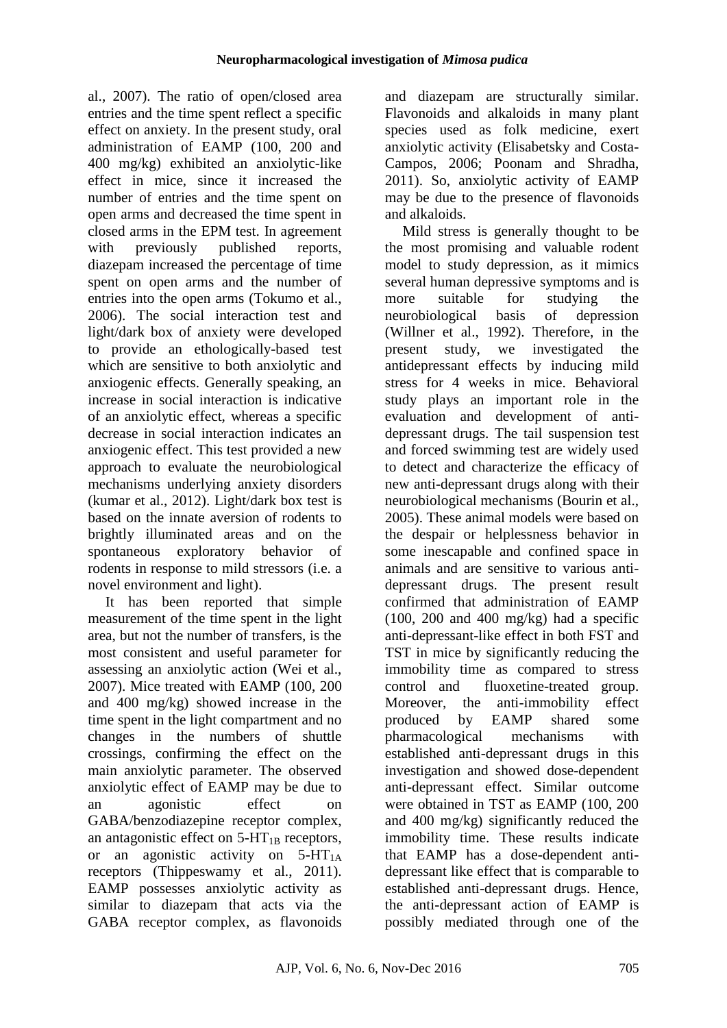al., 2007). The ratio of open/closed area entries and the time spent reflect a specific effect on anxiety. In the present study, oral administration of EAMP (100, 200 and 400 mg/kg) exhibited an anxiolytic-like effect in mice, since it increased the number of entries and the time spent on open arms and decreased the time spent in closed arms in the EPM test. In agreement with previously published reports, diazepam increased the percentage of time spent on open arms and the number of entries into the open arms (Tokumo et al., 2006). The social interaction test and light/dark box of anxiety were developed to provide an ethologically-based test which are sensitive to both anxiolytic and anxiogenic effects. Generally speaking, an increase in social interaction is indicative of an anxiolytic effect, whereas a specific decrease in social interaction indicates an anxiogenic effect. This test provided a new approach to evaluate the neurobiological mechanisms underlying anxiety disorders (kumar et al., 2012). Light/dark box test is based on the innate aversion of rodents to brightly illuminated areas and on the spontaneous exploratory behavior of rodents in response to mild stressors (i.e. a novel environment and light).

It has been reported that simple measurement of the time spent in the light area, but not the number of transfers, is the most consistent and useful parameter for assessing an anxiolytic action (Wei et al., 2007). Mice treated with EAMP (100, 200 and 400 mg/kg) showed increase in the time spent in the light compartment and no changes in the numbers of shuttle crossings, confirming the effect on the main anxiolytic parameter. The observed anxiolytic effect of EAMP may be due to an agonistic effect on GABA/benzodiazepine receptor complex, an antagonistic effect on  $5-HT_{1B}$  receptors, or an agonistic activity on  $5-HT_{1A}$ receptors (Thippeswamy et al., 2011). EAMP possesses anxiolytic activity as similar to diazepam that acts via the GABA receptor complex, as flavonoids and diazepam are structurally similar. Flavonoids and alkaloids in many plant species used as folk medicine, exert anxiolytic activity (Elisabetsky and Costa-Campos, 2006; Poonam and Shradha, 2011). So, anxiolytic activity of EAMP may be due to the presence of flavonoids and alkaloids.

Mild stress is generally thought to be the most promising and valuable rodent model to study depression, as it mimics several human depressive symptoms and is more suitable for studying the neurobiological basis of depression (Willner et al., 1992). Therefore, in the present study, we investigated the antidepressant effects by inducing mild stress for 4 weeks in mice. Behavioral study plays an important role in the evaluation and development of antidepressant drugs. The tail suspension test and forced swimming test are widely used to detect and characterize the efficacy of new anti-depressant drugs along with their neurobiological mechanisms (Bourin et al., 2005). These animal models were based on the despair or helplessness behavior in some inescapable and confined space in animals and are sensitive to various antidepressant drugs. The present result confirmed that administration of EAMP  $(100, 200$  and  $400$  mg/kg) had a specific anti-depressant-like effect in both FST and TST in mice by significantly reducing the immobility time as compared to stress control and fluoxetine-treated group. Moreover, the anti-immobility effect produced by EAMP shared some pharmacological mechanisms with established anti-depressant drugs in this investigation and showed dose-dependent anti-depressant effect. Similar outcome were obtained in TST as EAMP (100, 200 and 400 mg/kg) significantly reduced the immobility time. These results indicate that EAMP has a dose-dependent antidepressant like effect that is comparable to established anti-depressant drugs. Hence, the anti-depressant action of EAMP is possibly mediated through one of the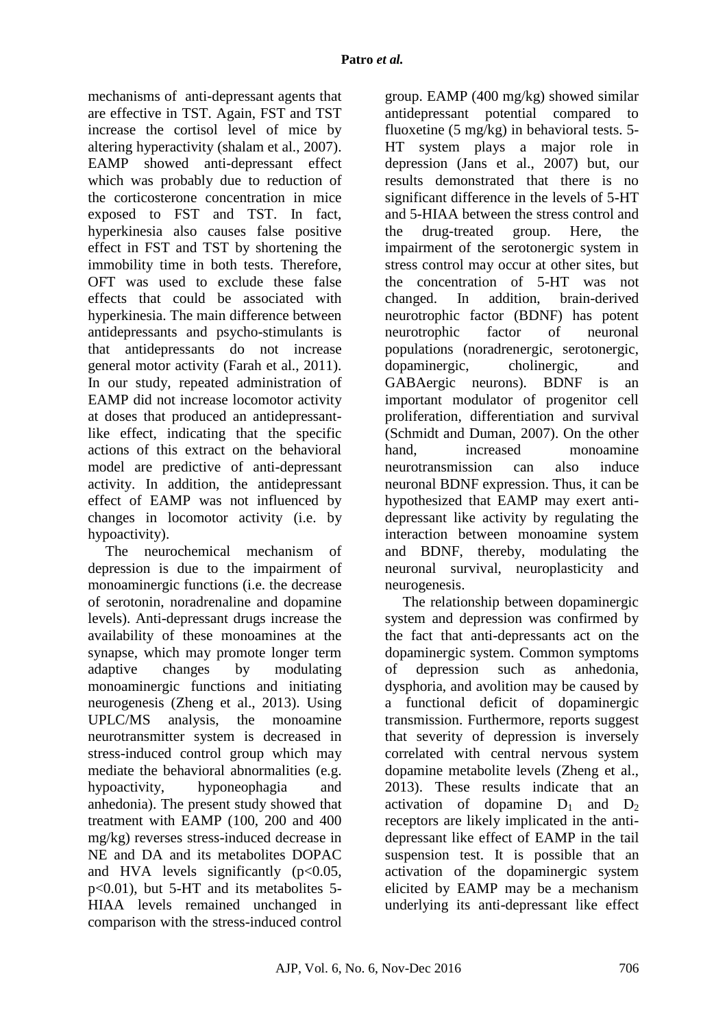mechanisms of anti-depressant agents that are effective in TST. Again, FST and TST increase the cortisol level of mice by altering hyperactivity (shalam et al., 2007). EAMP showed anti-depressant effect which was probably due to reduction of the corticosterone concentration in mice exposed to FST and TST. In fact, hyperkinesia also causes false positive effect in FST and TST by shortening the immobility time in both tests. Therefore, OFT was used to exclude these false effects that could be associated with hyperkinesia. The main difference between antidepressants and psycho-stimulants is that antidepressants do not increase general motor activity (Farah et al., 2011). In our study, repeated administration of EAMP did not increase locomotor activity at doses that produced an antidepressantlike effect, indicating that the specific actions of this extract on the behavioral model are predictive of anti-depressant activity. In addition, the antidepressant effect of EAMP was not influenced by changes in locomotor activity (i.e. by hypoactivity).

The neurochemical mechanism of depression is due to the impairment of monoaminergic functions (i.e. the decrease of serotonin, noradrenaline and dopamine levels). Anti-depressant drugs increase the availability of these monoamines at the synapse, which may promote longer term adaptive changes by modulating monoaminergic functions and initiating neurogenesis (Zheng et al., 2013). Using UPLC/MS analysis, the monoamine neurotransmitter system is decreased in stress-induced control group which may mediate the behavioral abnormalities (e.g. hypoactivity, hyponeophagia and anhedonia). The present study showed that treatment with EAMP (100, 200 and 400 mg/kg) reverses stress-induced decrease in NE and DA and its metabolites DOPAC and HVA levels significantly  $(p<0.05$ , p<0.01), but 5-HT and its metabolites 5- HIAA levels remained unchanged in comparison with the stress-induced control group. EAMP (400 mg/kg) showed similar antidepressant potential compared to fluoxetine (5 mg/kg) in behavioral tests. 5- HT system plays a major role in depression (Jans et al., 2007) but, our results demonstrated that there is no significant difference in the levels of 5-HT and 5-HIAA between the stress control and the drug-treated group. Here, the impairment of the serotonergic system in stress control may occur at other sites, but the concentration of 5-HT was not changed. In addition, brain-derived neurotrophic factor (BDNF) has potent neurotrophic factor of neuronal populations (noradrenergic, serotonergic, dopaminergic, cholinergic, and GABAergic neurons). BDNF is an important modulator of progenitor cell proliferation, differentiation and survival (Schmidt and Duman, 2007). On the other hand increased monoamine neurotransmission can also induce neuronal BDNF expression. Thus, it can be hypothesized that EAMP may exert antidepressant like activity by regulating the interaction between monoamine system and BDNF, thereby, modulating the neuronal survival, neuroplasticity and neurogenesis.

The relationship between dopaminergic system and depression was confirmed by the fact that anti-depressants act on the dopaminergic system. Common symptoms of depression such as anhedonia, dysphoria, and avolition may be caused by a functional deficit of dopaminergic transmission. Furthermore, reports suggest that severity of depression is inversely correlated with central nervous system dopamine metabolite levels (Zheng et al., 2013). These results indicate that an activation of dopamine  $D_1$  and  $D_2$ receptors are likely implicated in the antidepressant like effect of EAMP in the tail suspension test. It is possible that an activation of the dopaminergic system elicited by EAMP may be a mechanism underlying its anti-depressant like effect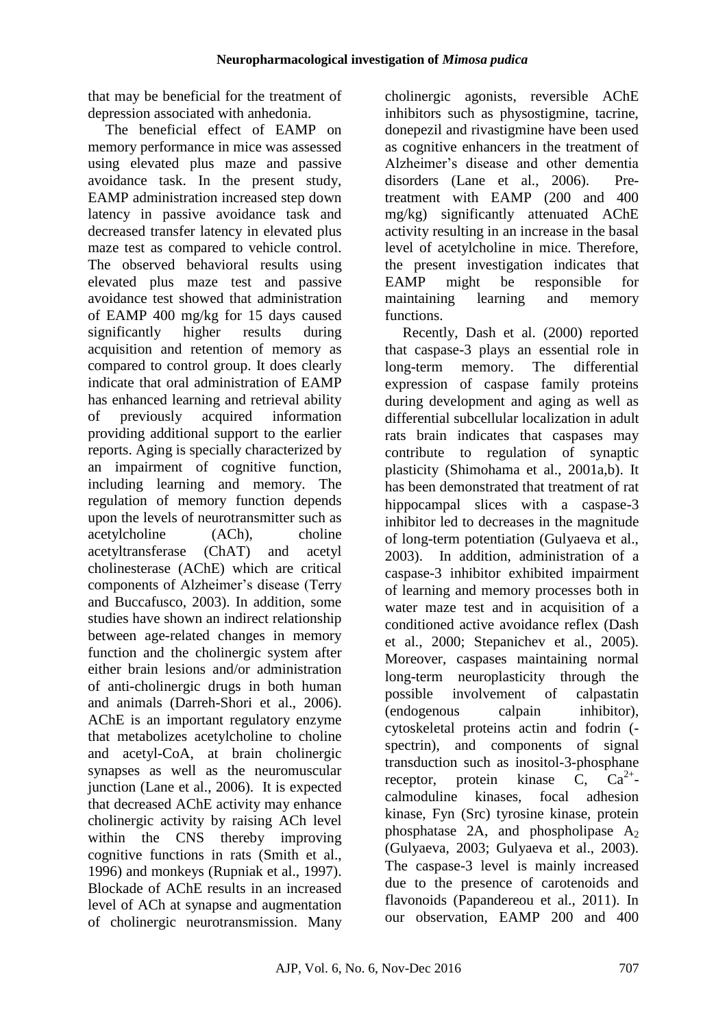that may be beneficial for the treatment of depression associated with anhedonia.

The beneficial effect of EAMP on memory performance in mice was assessed using elevated plus maze and passive avoidance task. In the present study, EAMP administration increased step down latency in passive avoidance task and decreased transfer latency in elevated plus maze test as compared to vehicle control. The observed behavioral results using elevated plus maze test and passive avoidance test showed that administration of EAMP 400 mg/kg for 15 days caused significantly higher results during acquisition and retention of memory as compared to control group. It does clearly indicate that oral administration of EAMP has enhanced learning and retrieval ability of previously acquired information providing additional support to the earlier reports. Aging is specially characterized by an impairment of cognitive function, including learning and memory. The regulation of memory function depends upon the levels of neurotransmitter such as acetylcholine (ACh), choline acetyltransferase (ChAT) and acetyl cholinesterase (AChE) which are critical components of Alzheimer's disease (Terry and Buccafusco, 2003). In addition, some studies have shown an indirect relationship between age-related changes in memory function and the cholinergic system after either brain lesions and/or administration of anti-cholinergic drugs in both human and animals (Darreh-Shori et al., 2006). AChE is an important regulatory enzyme that metabolizes acetylcholine to choline and acetyl-CoA, at brain cholinergic synapses as well as the neuromuscular junction (Lane et al., 2006). It is expected that decreased AChE activity may enhance cholinergic activity by raising ACh level within the CNS thereby improving cognitive functions in rats (Smith et al., 1996) and monkeys (Rupniak et al., 1997). Blockade of AChE results in an increased level of ACh at synapse and augmentation of cholinergic neurotransmission. Many

cholinergic agonists, reversible AChE inhibitors such as physostigmine, tacrine, donepezil and rivastigmine have been used as cognitive enhancers in the treatment of Alzheimer's disease and other dementia disorders (Lane et al., 2006). Pretreatment with EAMP (200 and 400 mg/kg) significantly attenuated AChE activity resulting in an increase in the basal level of acetylcholine in mice. Therefore, the present investigation indicates that EAMP might be responsible for maintaining learning and memory functions.

Recently, Dash et al. (2000) reported that caspase-3 plays an essential role in long-term memory. The differential expression of caspase family proteins during development and aging as well as differential subcellular localization in adult rats brain indicates that caspases may contribute to regulation of synaptic plasticity (Shimohama et al., 2001a,b). It has been demonstrated that treatment of rat hippocampal slices with a caspase-3 inhibitor led to decreases in the magnitude of long-term potentiation (Gulyaeva et al., 2003). In addition, administration of a caspase-3 inhibitor exhibited impairment of learning and memory processes both in water maze test and in acquisition of a conditioned active avoidance reflex (Dash et al., 2000; Stepanichev et al., 2005). Moreover, caspases maintaining normal long-term neuroplasticity through the possible involvement of calpastatin (endogenous calpain inhibitor), cytoskeletal proteins actin and fodrin ( spectrin), and components of signal transduction such as inositol-3-phosphane receptor, protein kinase  $\overline{C}$ ,  $\overline{Ca^{2+}}$ calmoduline kinases, focal adhesion kinase, Fyn (Src) tyrosine kinase, protein phosphatase  $2A$ , and phospholipase  $A_2$ (Gulyaeva, 2003; Gulyaeva et al., 2003). The caspase-3 level is mainly increased due to the presence of carotenoids and flavonoids (Papandereou et al., 2011). In our observation, EAMP 200 and 400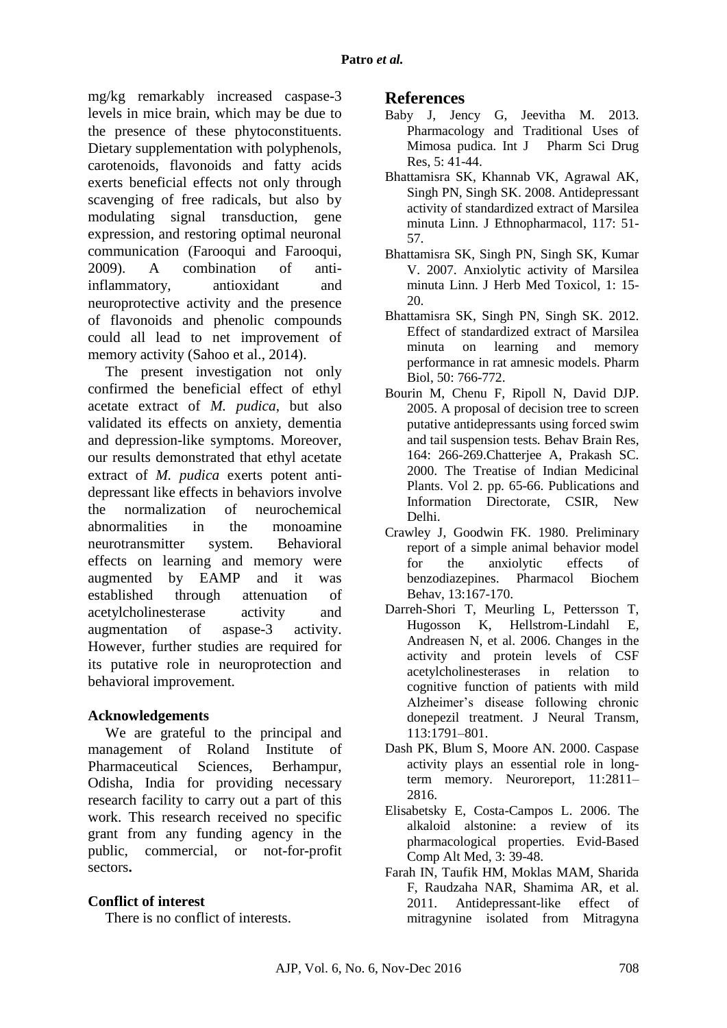mg/kg remarkably increased caspase-3 levels in mice brain, which may be due to the presence of these phytoconstituents. Dietary supplementation with polyphenols, carotenoids, flavonoids and fatty acids exerts beneficial effects not only through scavenging of free radicals, but also by modulating signal transduction, gene expression, and restoring optimal neuronal communication (Farooqui and Farooqui, 2009). A combination of antiinflammatory, antioxidant and neuroprotective activity and the presence of flavonoids and phenolic compounds could all lead to net improvement of memory activity (Sahoo et al., 2014).

The present investigation not only confirmed the beneficial effect of ethyl acetate extract of *M. pudica*, but also validated its effects on anxiety, dementia and depression-like symptoms. Moreover, our results demonstrated that ethyl acetate extract of *M. pudica* exerts potent antidepressant like effects in behaviors involve the normalization of neurochemical abnormalities in the monoamine neurotransmitter system. Behavioral effects on learning and memory were augmented by EAMP and it was established through attenuation of acetylcholinesterase activity and augmentation of aspase-3 activity. However, further studies are required for its putative role in neuroprotection and behavioral improvement.

#### **Acknowledgements**

We are grateful to the principal and management of Roland Institute of Pharmaceutical Sciences, Berhampur, Odisha, India for providing necessary research facility to carry out a part of this work. This research received no specific grant from any funding agency in the public, commercial, or not-for-profit sectors**.**

### **Conflict of interest**

There is no conflict of interests.

### **References**

- Baby J, Jency G, Jeevitha M. 2013. Pharmacology and Traditional Uses of Mimosa pudica. Int J Pharm Sci Drug Res, 5: 41-44.
- Bhattamisra SK, Khannab VK, Agrawal AK, Singh PN, Singh SK. 2008. Antidepressant activity of standardized extract of Marsilea minuta Linn. J Ethnopharmacol, 117: 51- 57.
- Bhattamisra SK, Singh PN, Singh SK, Kumar V. 2007. Anxiolytic activity of Marsilea minuta Linn. J Herb Med Toxicol, 1: 15- 20.
- Bhattamisra SK, Singh PN, Singh SK. 2012. Effect of standardized extract of Marsilea minuta on learning and memory performance in rat amnesic models. Pharm Biol, 50: 766-772.
- Bourin M, Chenu F, Ripoll N, David DJP. 2005. A proposal of decision tree to screen putative antidepressants using forced swim and tail suspension tests. Behav Brain Res, 164: 266-269.Chatterjee A, Prakash SC. 2000. The Treatise of Indian Medicinal Plants. Vol 2. pp. 65-66. Publications and Information Directorate, CSIR, New Delhi.
- Crawley J, Goodwin FK. 1980. Preliminary report of a simple animal behavior model for the anxiolytic effects of benzodiazepines. Pharmacol Biochem Behav, 13:167-170.
- Darreh-Shori T, Meurling L, Pettersson T, Hugosson K, Hellstrom-Lindahl E, Andreasen N, et al. 2006. Changes in the activity and protein levels of CSF acetylcholinesterases in relation to cognitive function of patients with mild Alzheimer's disease following chronic donepezil treatment. J Neural Transm, 113:1791–801.
- Dash PK, Blum S, Moore AN. 2000. Caspase activity plays an essential role in longterm memory. Neuroreport, 11:2811– 2816.
- Elisabetsky E, Costa-Campos L. 2006. The alkaloid alstonine: a review of its pharmacological properties. Evid-Based Comp Alt Med, 3: 39-48.
- Farah IN, Taufik HM, Moklas MAM, Sharida F, Raudzaha NAR, Shamima AR, et al. 2011. Antidepressant-like effect of mitragynine isolated from Mitragyna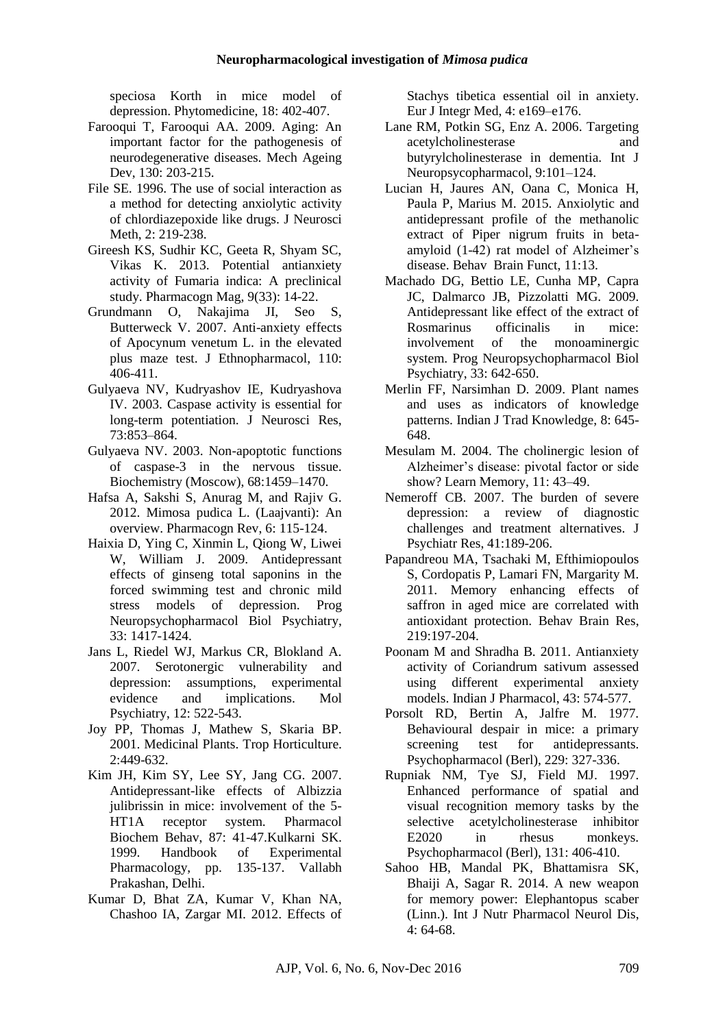speciosa Korth in mice model of depression. Phytomedicine, 18: 402-407.

- Farooqui T, Farooqui AA. 2009. Aging: An important factor for the pathogenesis of neurodegenerative diseases. Mech Ageing Dev, 130: 203-215.
- File SE. 1996. The use of social interaction as a method for detecting anxiolytic activity of chlordiazepoxide like drugs. J Neurosci Meth, 2: 219-238.
- Gireesh KS, Sudhir KC, Geeta R, Shyam SC, Vikas K. 2013. Potential antianxiety activity of Fumaria indica: A preclinical study. Pharmacogn Mag, 9(33): 14-22.
- Grundmann O, Nakajima JI, Seo S, Butterweck V. 2007. Anti-anxiety effects of Apocynum venetum L. in the elevated plus maze test. J Ethnopharmacol, 110: 406-411.
- Gulyaeva NV, Kudryashov IE, Kudryashova IV. 2003. Caspase activity is essential for long-term potentiation. J Neurosci Res, 73:853–864.
- Gulyaeva NV. 2003. Non-apoptotic functions of caspase-3 in the nervous tissue. Biochemistry (Moscow), 68:1459–1470.
- Hafsa A, Sakshi S, Anurag M, and Rajiv G. 2012. Mimosa pudica L. (Laajvanti): An overview. Pharmacogn Rev, 6: 115-124.
- Haixia D, Ying C, Xinmin L, Qiong W, Liwei W, William J. 2009. Antidepressant effects of ginseng total saponins in the forced swimming test and chronic mild stress models of depression. Prog Neuropsychopharmacol Biol Psychiatry, 33: 1417-1424.
- Jans L, Riedel WJ, Markus CR, Blokland A. 2007. Serotonergic vulnerability and depression: assumptions, experimental evidence and implications. Mol Psychiatry, 12: 522-543.
- Joy PP, Thomas J, Mathew S, Skaria BP. 2001. Medicinal Plants. Trop Horticulture. 2:449-632.
- Kim JH, Kim SY, Lee SY, Jang CG. 2007. Antidepressant-like effects of Albizzia julibrissin in mice: involvement of the 5- HT1A receptor system. Pharmacol Biochem Behav, 87: 41-47.Kulkarni SK. 1999. Handbook of Experimental Pharmacology, pp. 135-137. Vallabh Prakashan, Delhi.
- Kumar D, Bhat ZA, Kumar V, Khan NA, Chashoo IA, Zargar MI. 2012. Effects of

Stachys tibetica essential oil in anxiety. Eur J Integr Med, 4: e169–e176.

- Lane RM, Potkin SG, Enz A. 2006. Targeting acetylcholinesterase and butyrylcholinesterase in dementia. Int J Neuropsycopharmacol, 9:101–124.
- Lucian H, Jaures AN, Oana C, Monica H, Paula P, Marius M. 2015. Anxiolytic and antidepressant profile of the methanolic extract of Piper nigrum fruits in betaamyloid (1-42) rat model of Alzheimer's disease. Behav Brain Funct, 11:13.
- Machado DG, Bettio LE, Cunha MP, Capra JC, Dalmarco JB, Pizzolatti MG. 2009. Antidepressant like effect of the extract of Rosmarinus officinalis in mice: involvement of the monoaminergic system. Prog Neuropsychopharmacol Biol Psychiatry, 33: 642-650.
- Merlin FF, Narsimhan D. 2009. Plant names and uses as indicators of knowledge patterns. Indian J Trad Knowledge, 8: 645- 648.
- Mesulam M. 2004. The cholinergic lesion of Alzheimer's disease: pivotal factor or side show? Learn Memory, 11: 43–49.
- Nemeroff CB. 2007. The burden of severe depression: a review of diagnostic challenges and treatment alternatives. J Psychiatr Res, 41:189-206.
- Papandreou MA, Tsachaki M, Efthimiopoulos S, Cordopatis P, Lamari FN, Margarity M. 2011. Memory enhancing effects of saffron in aged mice are correlated with antioxidant protection. Behav Brain Res, 219:197-204.
- Poonam M and Shradha B. 2011. Antianxiety activity of Coriandrum sativum assessed using different experimental anxiety models. Indian J Pharmacol, 43: 574-577.
- Porsolt RD, Bertin A, Jalfre M. 1977. Behavioural despair in mice: a primary screening test for antidepressants. Psychopharmacol (Berl), 229: 327-336.
- Rupniak NM, Tye SJ, Field MJ. 1997. Enhanced performance of spatial and visual recognition memory tasks by the selective acetylcholinesterase inhibitor E2020 in rhesus monkeys. Psychopharmacol (Berl), 131: 406-410.
- Sahoo HB, Mandal PK, Bhattamisra SK, Bhaiji A, Sagar R. 2014. A new weapon for memory power: Elephantopus scaber (Linn.). Int J Nutr Pharmacol Neurol Dis, 4: 64-68.